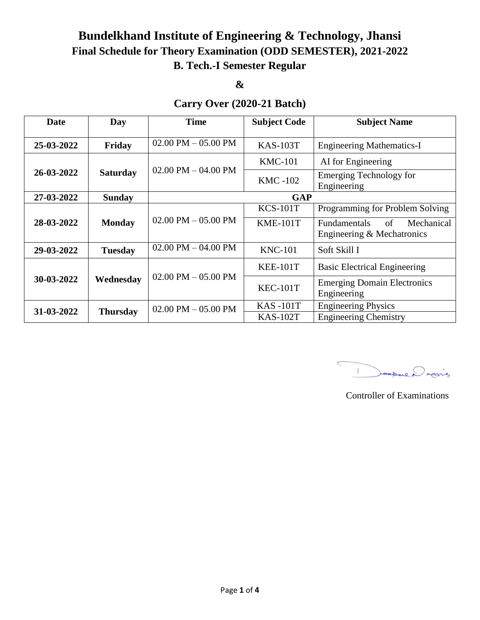# **Bundelkhand Institute of Engineering & Technology, Jhansi Final Schedule for Theory Examination (ODD SEMESTER), 2021-2022 B. Tech.-I Semester Regular**

**&** 

### **Carry Over (2020-21 Batch)**

| Date       | Day             | <b>Time</b>             | <b>Subject Code</b> | <b>Subject Name</b>                                                   |  |
|------------|-----------------|-------------------------|---------------------|-----------------------------------------------------------------------|--|
| 25-03-2022 | Friday          | $02.00$ PM $- 05.00$ PM | <b>KAS-103T</b>     | <b>Engineering Mathematics-I</b>                                      |  |
|            |                 |                         | $KMC-101$           | AI for Engineering                                                    |  |
| 26-03-2022 | <b>Saturday</b> | $02.00$ PM $- 04.00$ PM | <b>KMC -102</b>     | <b>Emerging Technology for</b><br>Engineering                         |  |
| 27-03-2022 | <b>Sunday</b>   | <b>GAP</b>              |                     |                                                                       |  |
|            |                 |                         | $KCS-101T$          | Programming for Problem Solving                                       |  |
| 28-03-2022 | <b>Monday</b>   | $02.00$ PM $- 05.00$ PM | $KME-101T$          | Mechanical<br>of<br><b>Fundamentals</b><br>Engineering & Mechatronics |  |
| 29-03-2022 | <b>Tuesday</b>  | $02.00$ PM $- 04.00$ PM | <b>KNC-101</b>      | Soft Skill I                                                          |  |
|            |                 |                         | <b>KEE-101T</b>     | <b>Basic Electrical Engineering</b>                                   |  |
| 30-03-2022 | Wednesday       | $02.00$ PM $- 05.00$ PM | <b>KEC-101T</b>     | <b>Emerging Domain Electronics</b><br>Engineering                     |  |
| 31-03-2022 | <b>Thursday</b> | $02.00$ PM $- 05.00$ PM | <b>KAS-101T</b>     | <b>Engineering Physics</b>                                            |  |
|            |                 |                         | <b>KAS-102T</b>     | <b>Engineering Chemistry</b>                                          |  |

 $\overline{\mathbf{C}}$ 1 Deepwer rearing

Controller of Examinations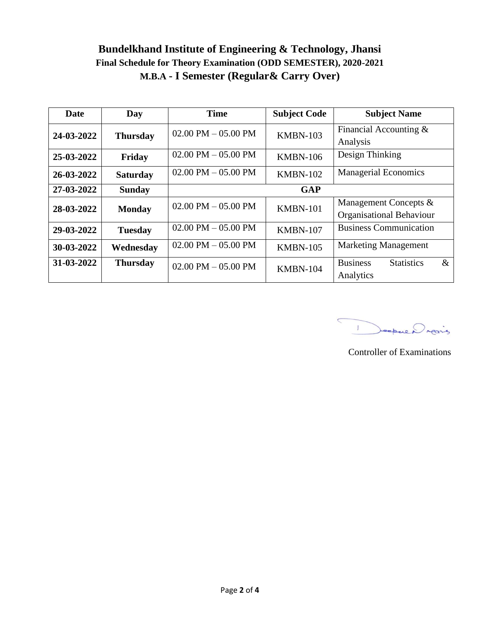## **Bundelkhand Institute of Engineering & Technology, Jhansi Final Schedule for Theory Examination (ODD SEMESTER), 2020-2021 M.B.A - I Semester (Regular& Carry Over)**

| Date       | Day             | <b>Time</b>                           | <b>Subject Code</b> | <b>Subject Name</b>                          |
|------------|-----------------|---------------------------------------|---------------------|----------------------------------------------|
| 24-03-2022 | <b>Thursday</b> | $02.00$ PM $- 05.00$ PM               | <b>KMBN-103</b>     | Financial Accounting &                       |
|            |                 |                                       |                     | Analysis                                     |
| 25-03-2022 | Friday          | $02.00 \text{ PM} - 05.00 \text{ PM}$ | <b>KMBN-106</b>     | Design Thinking                              |
| 26-03-2022 | <b>Saturday</b> | $02.00$ PM $- 05.00$ PM               | <b>KMBN-102</b>     | <b>Managerial Economics</b>                  |
| 27-03-2022 | <b>Sunday</b>   |                                       | <b>GAP</b>          |                                              |
| 28-03-2022 | <b>Monday</b>   | $02.00$ PM $- 05.00$ PM               | <b>KMBN-101</b>     | Management Concepts &                        |
|            |                 |                                       |                     | Organisational Behaviour                     |
| 29-03-2022 | <b>Tuesday</b>  | $02.00 \text{ PM} - 05.00 \text{ PM}$ | <b>KMBN-107</b>     | <b>Business Communication</b>                |
| 30-03-2022 | Wednesday       | $02.00 \text{ PM} - 05.00 \text{ PM}$ | <b>KMBN-105</b>     | <b>Marketing Management</b>                  |
| 31-03-2022 | <b>Thursday</b> | 02.00 PM $-$ 05.00 PM                 | <b>KMBN-104</b>     | <b>Business</b><br><b>Statistics</b><br>$\&$ |
|            |                 |                                       |                     | Analytics                                    |

 $\subset$ 1 Deepwer rais

Controller of Examinations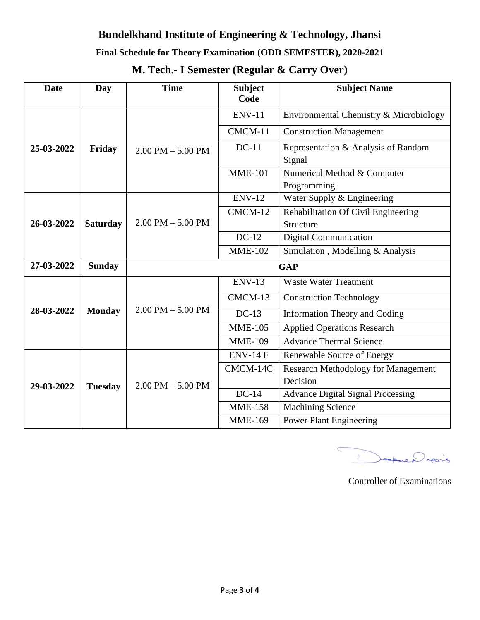## **Bundelkhand Institute of Engineering & Technology, Jhansi**

#### **Final Schedule for Theory Examination (ODD SEMESTER), 2020-2021**

## **M. Tech.- I Semester (Regular & Carry Over)**

| <b>Date</b> | Day             | <b>Time</b>           | <b>Subject</b><br>Code | <b>Subject Name</b>                           |
|-------------|-----------------|-----------------------|------------------------|-----------------------------------------------|
| 25-03-2022  | Friday          | $2.00$ PM $- 5.00$ PM | <b>ENV-11</b>          | Environmental Chemistry & Microbiology        |
|             |                 |                       | CMCM-11                | <b>Construction Management</b>                |
|             |                 |                       | $DC-11$                | Representation & Analysis of Random<br>Signal |
|             |                 |                       | <b>MME-101</b>         | Numerical Method & Computer<br>Programming    |
|             | <b>Saturday</b> | $2.00$ PM $- 5.00$ PM | <b>ENV-12</b>          | Water Supply & Engineering                    |
| 26-03-2022  |                 |                       | CMCM-12                | Rehabilitation Of Civil Engineering           |
|             |                 |                       |                        | Structure                                     |
|             |                 |                       | $DC-12$                | Digital Communication                         |
|             |                 |                       | $MME-102$              | Simulation, Modelling & Analysis              |
| 27-03-2022  | <b>Sunday</b>   | <b>GAP</b>            |                        |                                               |
| 28-03-2022  | <b>Monday</b>   | $2.00$ PM $- 5.00$ PM | <b>ENV-13</b>          | <b>Waste Water Treatment</b>                  |
|             |                 |                       | CMCM-13                | <b>Construction Technology</b>                |
|             |                 |                       | $DC-13$                | <b>Information Theory and Coding</b>          |
|             |                 |                       | <b>MME-105</b>         | <b>Applied Operations Research</b>            |
|             |                 |                       | <b>MME-109</b>         | <b>Advance Thermal Science</b>                |
| 29-03-2022  | <b>Tuesday</b>  | $2.00$ PM $- 5.00$ PM | <b>ENV-14 F</b>        | Renewable Source of Energy                    |
|             |                 |                       | CMCM-14C               | <b>Research Methodology for Management</b>    |
|             |                 |                       |                        | Decision                                      |
|             |                 |                       | $DC-14$                | <b>Advance Digital Signal Processing</b>      |
|             |                 |                       | <b>MME-158</b>         | <b>Machining Science</b>                      |
|             |                 |                       | <b>MME-169</b>         | <b>Power Plant Engineering</b>                |

 $\overline{\mathbf{C}}$ Depuis

Controller of Examinations